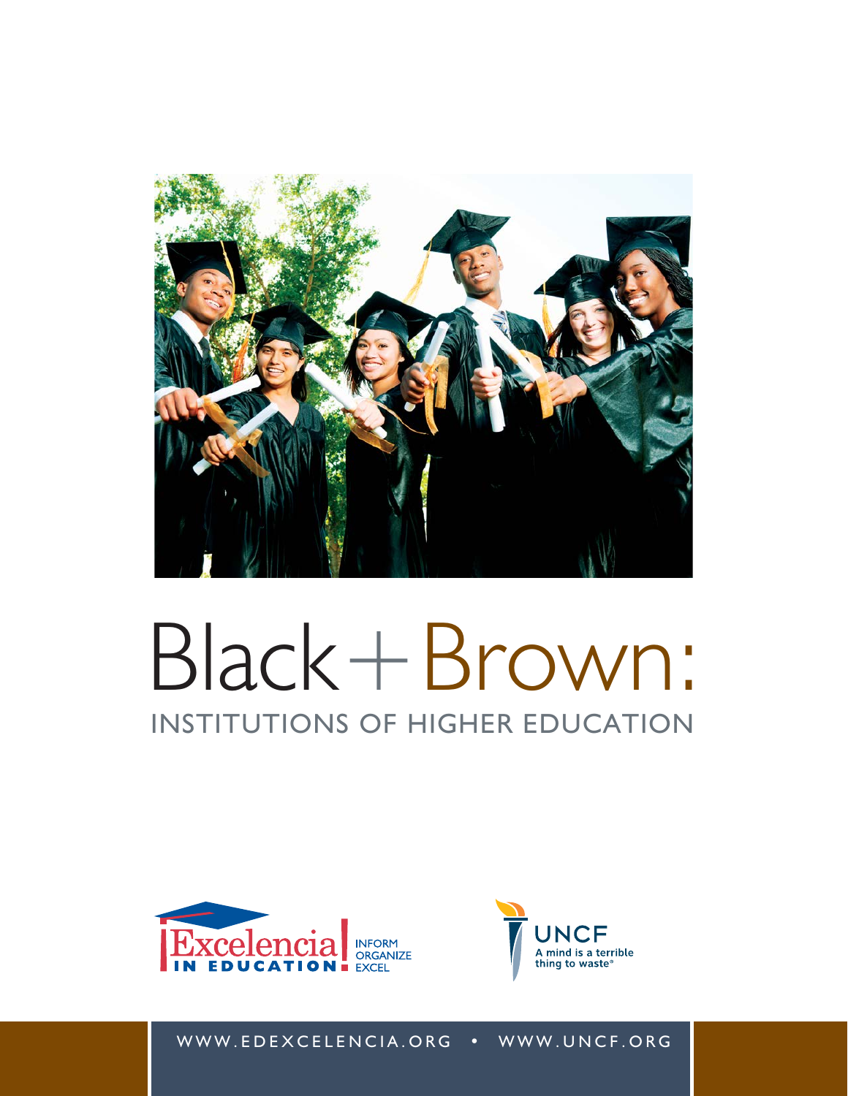

# Black+Brown: INSTITUTIONS OF HIGHER EDUCATION





WWW.EDEXCELENCIA.ORG • WWW.UNCF.ORG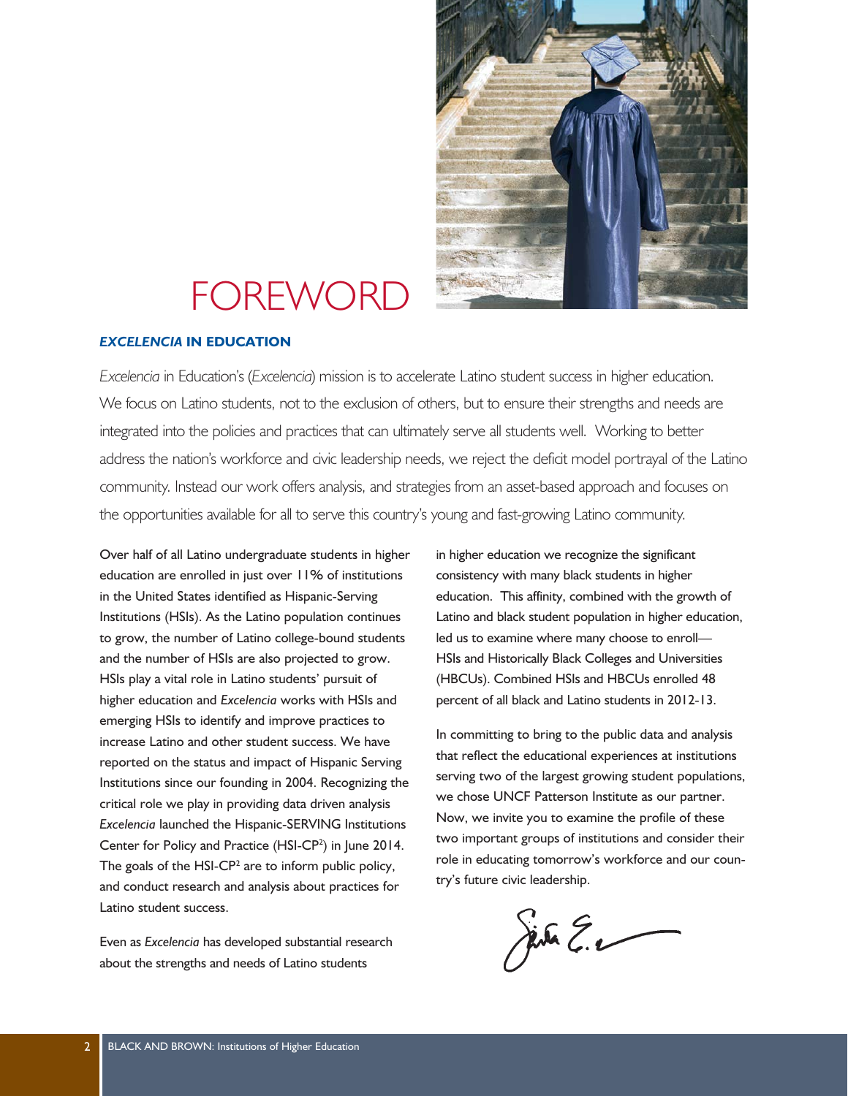

## FOREWORD

#### *EXCELENCIA* **IN EDUCATION**

*Excelencia* in Education's (*Excelencia*) mission is to accelerate Latino student success in higher education. We focus on Latino students, not to the exclusion of others, but to ensure their strengths and needs are integrated into the policies and practices that can ultimately serve all students well. Working to better address the nation's workforce and civic leadership needs, we reject the deficit model portrayal of the Latino community. Instead our work offers analysis, and strategies from an asset-based approach and focuses on the opportunities available for all to serve this country's young and fast-growing Latino community.

Over half of all Latino undergraduate students in higher education are enrolled in just over 11% of institutions in the United States identified as Hispanic-Serving Institutions (HSIs). As the Latino population continues to grow, the number of Latino college-bound students and the number of HSIs are also projected to grow. HSIs play a vital role in Latino students' pursuit of higher education and *Excelencia* works with HSIs and emerging HSIs to identify and improve practices to increase Latino and other student success. We have reported on the status and impact of Hispanic Serving Institutions since our founding in 2004. Recognizing the critical role we play in providing data driven analysis *Excelencia* launched the Hispanic-SERVING Institutions Center for Policy and Practice (HSI-CP<sup>2</sup>) in June 2014. The goals of the  $HSI-CP<sup>2</sup>$  are to inform public policy, and conduct research and analysis about practices for Latino student success.

Even as *Excelencia* has developed substantial research about the strengths and needs of Latino students

in higher education we recognize the significant consistency with many black students in higher education. This affinity, combined with the growth of Latino and black student population in higher education, led us to examine where many choose to enroll— HSIs and Historically Black Colleges and Universities (HBCUs). Combined HSIs and HBCUs enrolled 48 percent of all black and Latino students in 2012-13.

In committing to bring to the public data and analysis that reflect the educational experiences at institutions serving two of the largest growing student populations, we chose UNCF Patterson Institute as our partner. Now, we invite you to examine the profile of these two important groups of institutions and consider their role in educating tomorrow's workforce and our country's future civic leadership.

Jene E.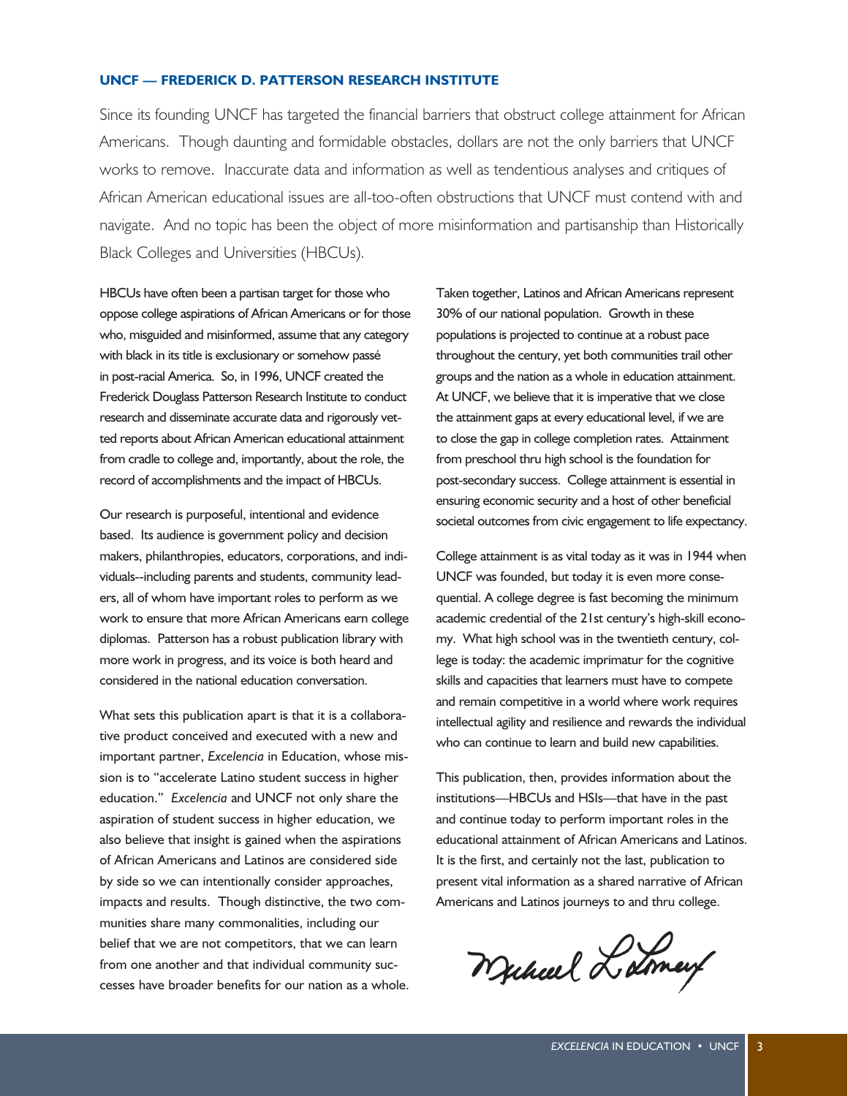#### **UNCF — FREDERICK D. PATTERSON RESEARCH INSTITUTE**

Since its founding UNCF has targeted the financial barriers that obstruct college attainment for African Americans. Though daunting and formidable obstacles, dollars are not the only barriers that UNCF works to remove. Inaccurate data and information as well as tendentious analyses and critiques of African American educational issues are all-too-often obstructions that UNCF must contend with and navigate. And no topic has been the object of more misinformation and partisanship than Historically Black Colleges and Universities (HBCUs).

HBCUs have often been a partisan target for those who oppose college aspirations of African Americans or for those who, misguided and misinformed, assume that any category with black in its title is exclusionary or somehow passé in post-racial America. So, in 1996, UNCF created the Frederick Douglass Patterson Research Institute to conduct research and disseminate accurate data and rigorously vetted reports about African American educational attainment from cradle to college and, importantly, about the role, the record of accomplishments and the impact of HBCUs.

Our research is purposeful, intentional and evidence based. Its audience is government policy and decision makers, philanthropies, educators, corporations, and individuals--including parents and students, community leaders, all of whom have important roles to perform as we work to ensure that more African Americans earn college diplomas. Patterson has a robust publication library with more work in progress, and its voice is both heard and considered in the national education conversation.

What sets this publication apart is that it is a collaborative product conceived and executed with a new and important partner, *Excelencia* in Education, whose mission is to "accelerate Latino student success in higher education." *Excelencia* and UNCF not only share the aspiration of student success in higher education, we also believe that insight is gained when the aspirations of African Americans and Latinos are considered side by side so we can intentionally consider approaches, impacts and results. Though distinctive, the two communities share many commonalities, including our belief that we are not competitors, that we can learn from one another and that individual community successes have broader benefits for our nation as a whole. Taken together, Latinos and African Americans represent 30% of our national population. Growth in these populations is projected to continue at a robust pace throughout the century, yet both communities trail other groups and the nation as a whole in education attainment. At UNCF, we believe that it is imperative that we close the attainment gaps at every educational level, if we are to close the gap in college completion rates. Attainment from preschool thru high school is the foundation for post-secondary success. College attainment is essential in ensuring economic security and a host of other beneficial societal outcomes from civic engagement to life expectancy.

College attainment is as vital today as it was in 1944 when UNCF was founded, but today it is even more consequential. A college degree is fast becoming the minimum academic credential of the 21st century's high-skill economy. What high school was in the twentieth century, college is today: the academic imprimatur for the cognitive skills and capacities that learners must have to compete and remain competitive in a world where work requires intellectual agility and resilience and rewards the individual who can continue to learn and build new capabilities.

This publication, then, provides information about the institutions—HBCUs and HSIs—that have in the past and continue today to perform important roles in the educational attainment of African Americans and Latinos. It is the first, and certainly not the last, publication to present vital information as a shared narrative of African Americans and Latinos journeys to and thru college.

Mukuel Lamey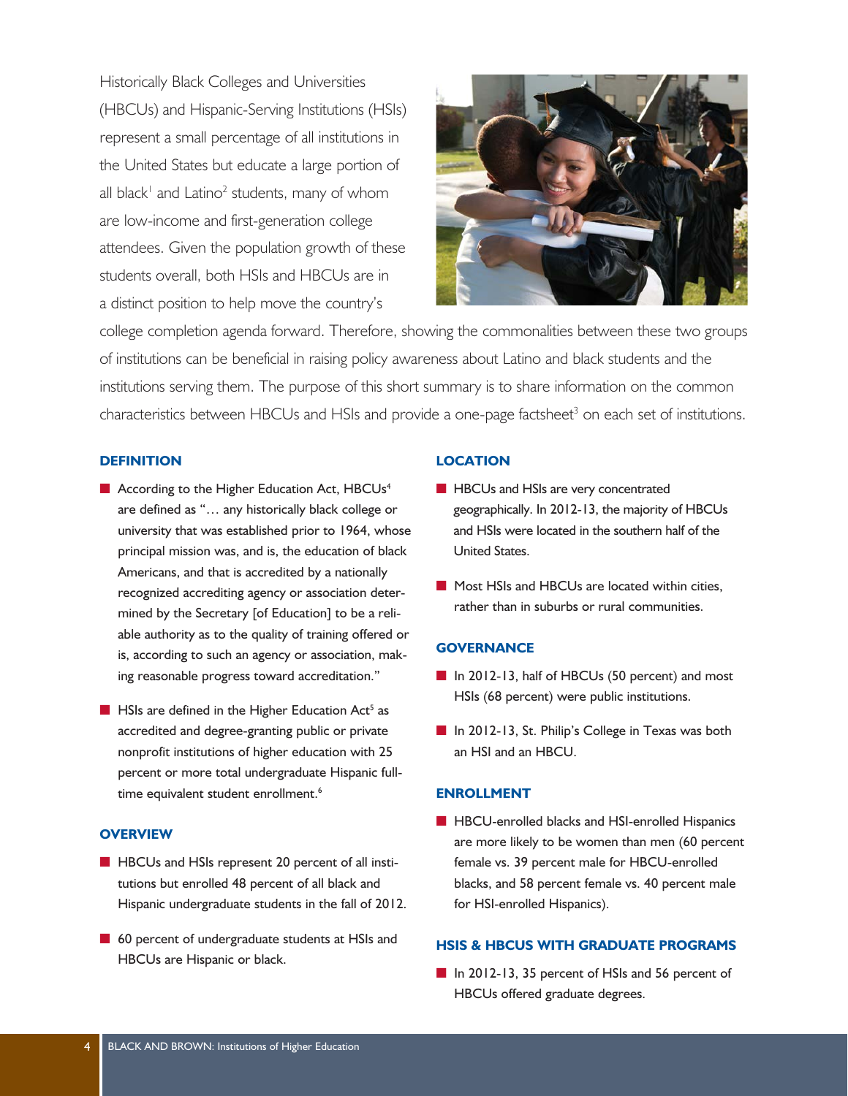Historically Black Colleges and Universities (HBCUs) and Hispanic-Serving Institutions (HSIs) represent a small percentage of all institutions in the United States but educate a large portion of all black<sup>1</sup> and Latino<sup>2</sup> students, many of whom are low-income and first-generation college attendees. Given the population growth of these students overall, both HSIs and HBCUs are in a distinct position to help move the country's



college completion agenda forward. Therefore, showing the commonalities between these two groups of institutions can be beneficial in raising policy awareness about Latino and black students and the institutions serving them. The purpose of this short summary is to share information on the common characteristics between HBCUs and HSIs and provide a one-page factsheet<sup>3</sup> on each set of institutions.

#### **DEFINITION**

- $\blacksquare$  According to the Higher Education Act, HBCUs<sup>4</sup> are defined as "… any historically black college or university that was established prior to 1964, whose principal mission was, and is, the education of black Americans, and that is accredited by a nationally recognized accrediting agency or association determined by the Secretary [of Education] to be a reliable authority as to the quality of training offered or is, according to such an agency or association, making reasonable progress toward accreditation."
- $\blacksquare$  HSIs are defined in the Higher Education Act<sup>5</sup> as accredited and degree-granting public or private nonprofit institutions of higher education with 25 percent or more total undergraduate Hispanic fulltime equivalent student enrollment.<sup>6</sup>

#### **OVERVIEW**

- **E** HBCUs and HSIs represent 20 percent of all institutions but enrolled 48 percent of all black and Hispanic undergraduate students in the fall of 2012.
- $\blacksquare$  60 percent of undergraduate students at HSIs and HBCUs are Hispanic or black.

#### **LOCATION**

- **E** HBCUs and HSIs are very concentrated geographically. In 2012-13, the majority of HBCUs and HSIs were located in the southern half of the United States.
- $\blacksquare$  Most HSIs and HBCUs are located within cities, rather than in suburbs or rural communities.

#### **GOVERNANCE**

- In 2012-13, half of HBCUs (50 percent) and most HSIs (68 percent) were public institutions.
- In 2012-13, St. Philip's College in Texas was both an HSI and an HBCU.

#### **ENROLLMENT**

**E** HBCU-enrolled blacks and HSI-enrolled Hispanics are more likely to be women than men (60 percent female vs. 39 percent male for HBCU-enrolled blacks, and 58 percent female vs. 40 percent male for HSI-enrolled Hispanics).

#### **HSIS & HBCUS WITH GRADUATE PROGRAMS**

■ In 2012-13, 35 percent of HSIs and 56 percent of HBCUs offered graduate degrees.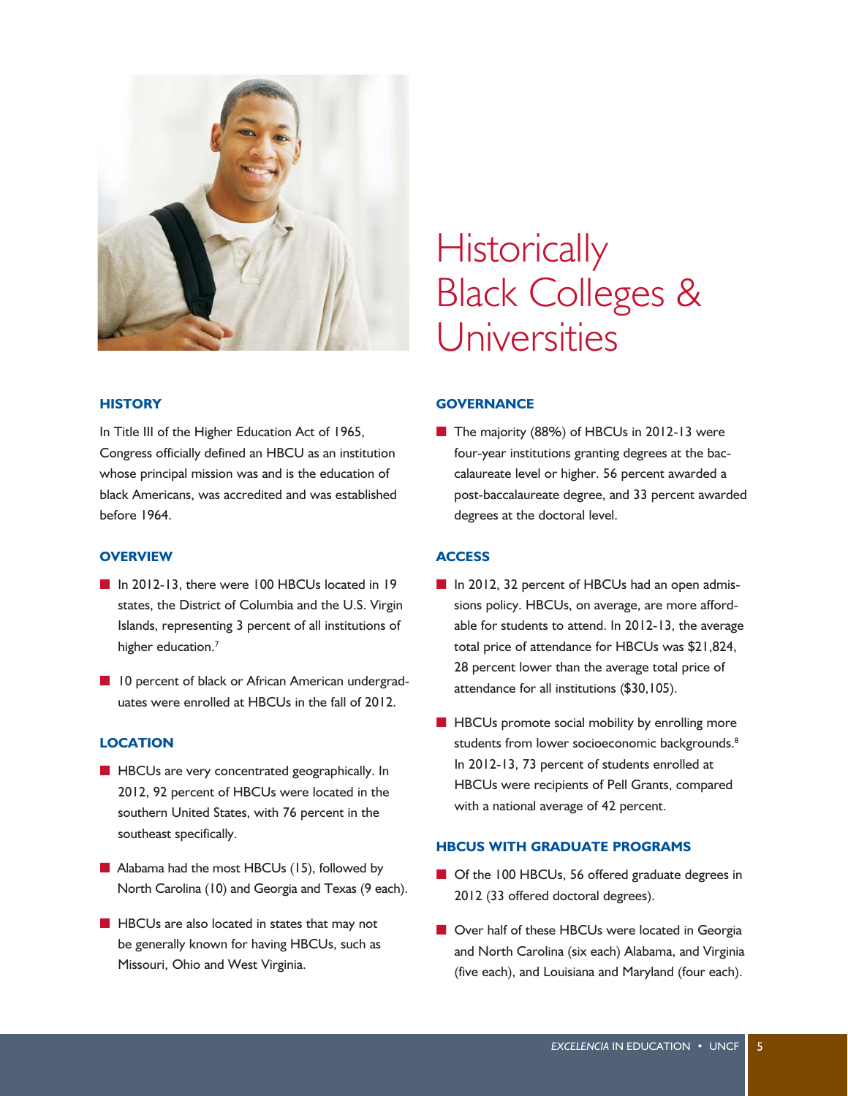

#### **HISTORY**

In Title III of the Higher Education Act of 1965, Congress officially defined an HBCU as an institution whose principal mission was and is the education of black Americans, was accredited and was established before 1964.

#### **OVERVIEW**

- In 2012-13, there were 100 HBCUs located in 19 states, the District of Columbia and the U.S. Virgin Islands, representing 3 percent of all institutions of higher education.<sup>7</sup>
- **Q 10 percent of black or African American undergrad**uates were enrolled at HBCUs in the fall of 2012.

#### **LOCATION**

- **E** HBCUs are very concentrated geographically. In 2012, 92 percent of HBCUs were located in the southern United States, with 76 percent in the southeast specifically.
- $\blacksquare$  Alabama had the most HBCUs (15), followed by North Carolina (10) and Georgia and Texas (9 each).
- $\blacksquare$  HBCUs are also located in states that may not be generally known for having HBCUs, such as Missouri, Ohio and West Virginia.

## **Historically** Black Colleges & Universities

#### **GOVERNANCE**

■ The majority (88%) of HBCUs in 2012-13 were four-year institutions granting degrees at the baccalaureate level or higher. 56 percent awarded a post-baccalaureate degree, and 33 percent awarded degrees at the doctoral level.

#### **ACCESS**

- In 2012, 32 percent of HBCUs had an open admissions policy. HBCUs, on average, are more affordable for students to attend. In 2012-13, the average total price of attendance for HBCUs was \$21,824, 28 percent lower than the average total price of attendance for all institutions (\$30,105).
- $\blacksquare$  HBCUs promote social mobility by enrolling more students from lower socioeconomic backgrounds.<sup>8</sup> In 2012-13, 73 percent of students enrolled at HBCUs were recipients of Pell Grants, compared with a national average of 42 percent.

#### **HBCUS WITH GRADUATE PROGRAMS**

- G Of the 100 HBCUs, 56 offered graduate degrees in 2012 (33 offered doctoral degrees).
- Over half of these HBCUs were located in Georgia and North Carolina (six each) Alabama, and Virginia (five each), and Louisiana and Maryland (four each).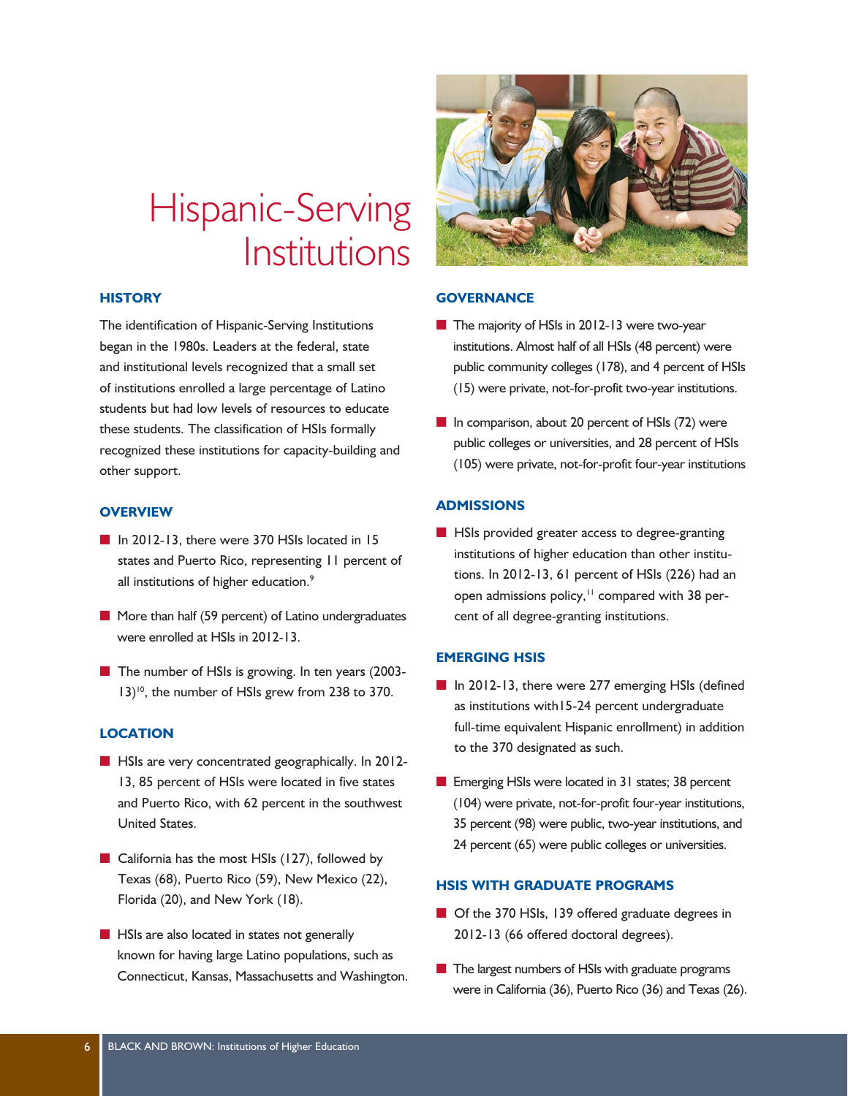## Hispanic-Serving Institutions

#### **HISTORY**

The identification of Hispanic-Serving Institutions began in the 1980s. Leaders at the federal, state and institutional levels recognized that a small set of institutions enrolled a large percentage of Latino students but had low levels of resources to educate these students. The classification of HSIs formally recognized these institutions for capacity-building and other support.

#### **OVERVIEW**

- In 2012-13, there were 370 HSIs located in 15 states and Puerto Rico, representing 11 percent of all institutions of higher education.<sup>9</sup>
- $\blacksquare$  More than half (59 percent) of Latino undergraduates were enrolled at HSIs in 2012-13.
- $\blacksquare$  The number of HSIs is growing. In ten years (2003-13)<sup>10</sup>, the number of HSIs grew from 238 to 370.

#### **LOCATION**

- **B** HSIs are very concentrated geographically. In 2012-13, 85 percent of HSIs were located in five states and Puerto Rico, with 62 percent in the southwest United States.
- California has the most HSIs  $(127)$ , followed by Texas (68), Puerto Rico (59), New Mexico (22), Florida (20), and New York (18).
- $\blacksquare$  HSIs are also located in states not generally known for having large Latino populations, such as Connecticut, Kansas, Massachusetts and Washington.



#### **GOVERNANCE**

- The majority of HSIs in 2012-13 were two-year institutions. Almost half of all HSIs (48 percent) were public community colleges (178), and 4 percent of HSIs (15) were private, not-for-profit two-year institutions.
- $\blacksquare$  In comparison, about 20 percent of HSIs (72) were public colleges or universities, and 28 percent of HSIs (105) were private, not-for-profit four-year institutions

#### **ADMISSIONS**

 $\blacksquare$  HSIs provided greater access to degree-granting institutions of higher education than other institutions. In 2012-13, 61 percent of HSIs (226) had an open admissions policy,<sup>11</sup> compared with 38 percent of all degree-granting institutions.

#### **EMERGING HSIS**

- In 2012-13, there were 277 emerging HSIs (defined as institutions with15-24 percent undergraduate full-time equivalent Hispanic enrollment) in addition to the 370 designated as such.
- **Exercise** Emerging HSIs were located in 31 states; 38 percent (104) were private, not-for-profit four-year institutions, 35 percent (98) were public, two-year institutions, and 24 percent (65) were public colleges or universities.

#### **HSIS WITH GRADUATE PROGRAMS**

- G Of the 370 HSIs, 139 offered graduate degrees in 2012-13 (66 offered doctoral degrees).
- $\blacksquare$  The largest numbers of HSIs with graduate programs were in California (36), Puerto Rico (36) and Texas (26).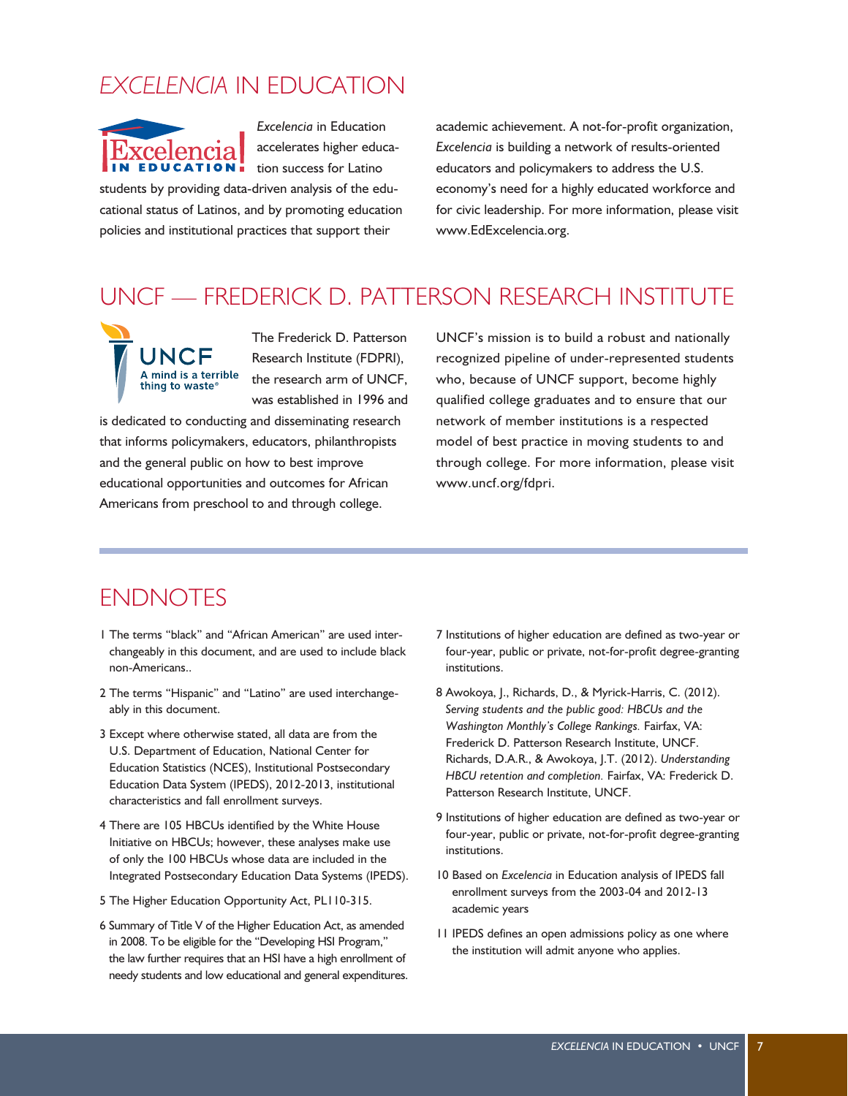### *EXCELENCIA* IN EDUCATION



*Excelencia* in Education accelerates higher education success for Latino

students by providing data-driven analysis of the educational status of Latinos, and by promoting education policies and institutional practices that support their

academic achievement. A not-for-profit organization, *Excelencia* is building a network of results-oriented educators and policymakers to address the U.S. economy's need for a highly educated workforce and for civic leadership. For more information, please visit www.EdExcelencia.org.

### UNCF — FREDERICK D. PATTERSON RESEARCH INSTITUTE



The Frederick D. Patterson Research Institute (FDPRI), the research arm of UNCF, was established in 1996 and

is dedicated to conducting and disseminating research that informs policymakers, educators, philanthropists and the general public on how to best improve educational opportunities and outcomes for African Americans from preschool to and through college.

UNCF's mission is to build a robust and nationally recognized pipeline of under-represented students who, because of UNCF support, become highly qualified college graduates and to ensure that our network of member institutions is a respected model of best practice in moving students to and through college. For more information, please visit www.uncf.org/fdpri.

### ENDNOTES

- 1 The terms "black" and "African American" are used interchangeably in this document, and are used to include black non-Americans..
- 2 The terms "Hispanic" and "Latino" are used interchangeably in this document.
- 3 Except where otherwise stated, all data are from the U.S. Department of Education, National Center for Education Statistics (NCES), Institutional Postsecondary Education Data System (IPEDS), 2012-2013, institutional characteristics and fall enrollment surveys.
- 4 There are 105 HBCUs identified by the White House Initiative on HBCUs; however, these analyses make use of only the 100 HBCUs whose data are included in the Integrated Postsecondary Education Data Systems (IPEDS).
- 5 The Higher Education Opportunity Act, PL110-315.
- 6 Summary of Title V of the Higher Education Act, as amended in 2008. To be eligible for the "Developing HSI Program," the law further requires that an HSI have a high enrollment of needy students and low educational and general expenditures.
- 7 Institutions of higher education are defined as two-year or four-year, public or private, not-for-profit degree-granting institutions.
- 8 Awokoya, J., Richards, D., & Myrick-Harris, C. (2012). *Serving students and the public good: HBCUs and the Washington Monthly's College Rankings.* Fairfax, VA: Frederick D. Patterson Research Institute, UNCF. Richards, D.A.R., & Awokoya, J.T. (2012). *Understanding HBCU retention and completion.* Fairfax, VA: Frederick D. Patterson Research Institute, UNCF.
- 9 Institutions of higher education are defined as two-year or four-year, public or private, not-for-profit degree-granting institutions.
- 10 Based on *Excelencia* in Education analysis of IPEDS fall enrollment surveys from the 2003-04 and 2012-13 academic years
- 11 IPEDS defines an open admissions policy as one where the institution will admit anyone who applies.